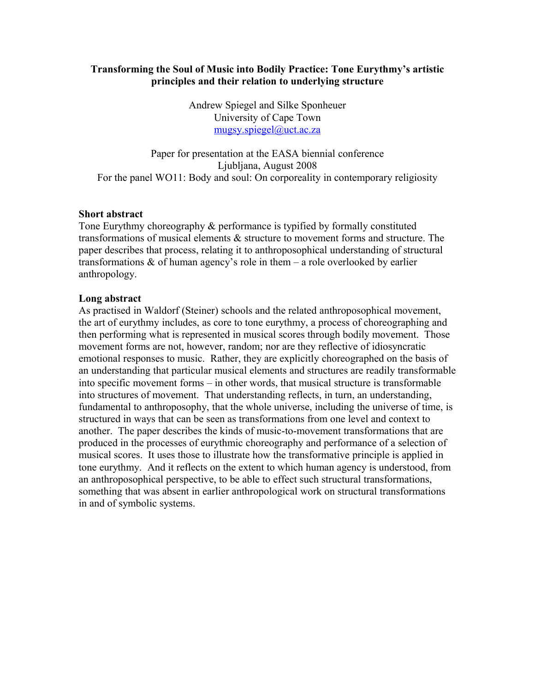### **Transforming the Soul of Music into Bodily Practice: Tone Eurythmy's artistic principles and their relation to underlying structure**

Andrew Spiegel and Silke Sponheuer University of Cape Town [mugsy.spiegel@uct.ac.za](mailto:mugsy.spiegel@uct.ac.za)

Paper for presentation at the EASA biennial conference Ljubljana, August 2008 For the panel WO11: Body and soul: On corporeality in contemporary religiosity

### **Short abstract**

Tone Eurythmy choreography & performance is typified by formally constituted transformations of musical elements & structure to movement forms and structure. The paper describes that process, relating it to anthroposophical understanding of structural transformations & of human agency's role in them – a role overlooked by earlier anthropology.

### **Long abstract**

As practised in Waldorf (Steiner) schools and the related anthroposophical movement, the art of eurythmy includes, as core to tone eurythmy, a process of choreographing and then performing what is represented in musical scores through bodily movement. Those movement forms are not, however, random; nor are they reflective of idiosyncratic emotional responses to music. Rather, they are explicitly choreographed on the basis of an understanding that particular musical elements and structures are readily transformable into specific movement forms – in other words, that musical structure is transformable into structures of movement. That understanding reflects, in turn, an understanding, fundamental to anthroposophy, that the whole universe, including the universe of time, is structured in ways that can be seen as transformations from one level and context to another. The paper describes the kinds of music-to-movement transformations that are produced in the processes of eurythmic choreography and performance of a selection of musical scores. It uses those to illustrate how the transformative principle is applied in tone eurythmy. And it reflects on the extent to which human agency is understood, from an anthroposophical perspective, to be able to effect such structural transformations, something that was absent in earlier anthropological work on structural transformations in and of symbolic systems.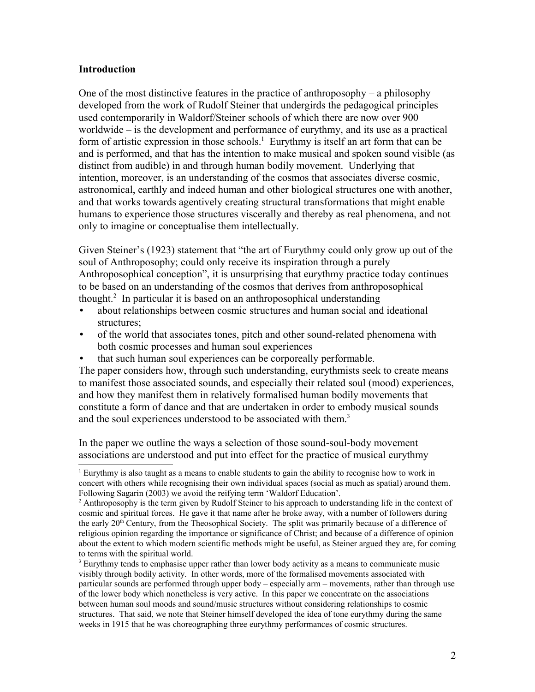### **Introduction**

One of the most distinctive features in the practice of anthroposophy – a philosophy developed from the work of Rudolf Steiner that undergirds the pedagogical principles used contemporarily in Waldorf/Steiner schools of which there are now over 900 worldwide – is the development and performance of eurythmy, and its use as a practical form of artistic expression in those schools.<sup>[1](#page-1-0)</sup> Eurythmy is itself an art form that can be and is performed, and that has the intention to make musical and spoken sound visible (as distinct from audible) in and through human bodily movement. Underlying that intention, moreover, is an understanding of the cosmos that associates diverse cosmic, astronomical, earthly and indeed human and other biological structures one with another, and that works towards agentively creating structural transformations that might enable humans to experience those structures viscerally and thereby as real phenomena, and not only to imagine or conceptualise them intellectually.

Given Steiner's (1923) statement that "the art of Eurythmy could only grow up out of the soul of Anthroposophy; could only receive its inspiration through a purely Anthroposophical conception", it is unsurprising that eurythmy practice today continues to be based on an understanding of the cosmos that derives from anthroposophical thought.[2](#page-1-1) In particular it is based on an anthroposophical understanding

- about relationships between cosmic structures and human social and ideational structures;
- of the world that associates tones, pitch and other sound-related phenomena with both cosmic processes and human soul experiences
- that such human soul experiences can be corporeally performable.

The paper considers how, through such understanding, eurythmists seek to create means to manifest those associated sounds, and especially their related soul (mood) experiences, and how they manifest them in relatively formalised human bodily movements that constitute a form of dance and that are undertaken in order to embody musical sounds and the soul experiences understood to be associated with them.<sup>[3](#page-1-2)</sup>

In the paper we outline the ways a selection of those sound-soul-body movement associations are understood and put into effect for the practice of musical eurythmy

<span id="page-1-0"></span><sup>1</sup> Eurythmy is also taught as a means to enable students to gain the ability to recognise how to work in concert with others while recognising their own individual spaces (social as much as spatial) around them. Following Sagarin (2003) we avoid the reifying term 'Waldorf Education'.

<span id="page-1-1"></span><sup>&</sup>lt;sup>2</sup> Anthroposophy is the term given by Rudolf Steiner to his approach to understanding life in the context of cosmic and spiritual forces. He gave it that name after he broke away, with a number of followers during the early  $20<sup>th</sup>$  Century, from the Theosophical Society. The split was primarily because of a difference of religious opinion regarding the importance or significance of Christ; and because of a difference of opinion about the extent to which modern scientific methods might be useful, as Steiner argued they are, for coming to terms with the spiritual world.

<span id="page-1-2"></span><sup>&</sup>lt;sup>3</sup> Eurythmy tends to emphasise upper rather than lower body activity as a means to communicate music visibly through bodily activity. In other words, more of the formalised movements associated with particular sounds are performed through upper body – especially arm – movements, rather than through use of the lower body which nonetheless is very active. In this paper we concentrate on the associations between human soul moods and sound/music structures without considering relationships to cosmic structures. That said, we note that Steiner himself developed the idea of tone eurythmy during the same weeks in 1915 that he was choreographing three eurythmy performances of cosmic structures.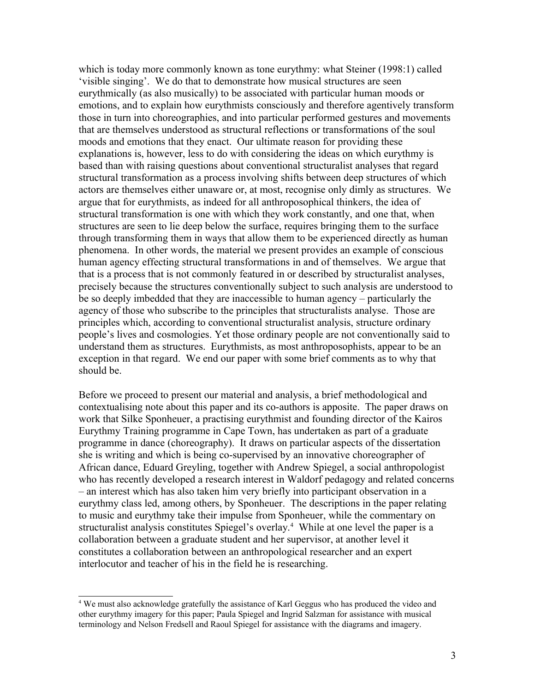which is today more commonly known as tone eurythmy: what Steiner (1998:1) called 'visible singing'. We do that to demonstrate how musical structures are seen eurythmically (as also musically) to be associated with particular human moods or emotions, and to explain how eurythmists consciously and therefore agentively transform those in turn into choreographies, and into particular performed gestures and movements that are themselves understood as structural reflections or transformations of the soul moods and emotions that they enact. Our ultimate reason for providing these explanations is, however, less to do with considering the ideas on which eurythmy is based than with raising questions about conventional structuralist analyses that regard structural transformation as a process involving shifts between deep structures of which actors are themselves either unaware or, at most, recognise only dimly as structures. We argue that for eurythmists, as indeed for all anthroposophical thinkers, the idea of structural transformation is one with which they work constantly, and one that, when structures are seen to lie deep below the surface, requires bringing them to the surface through transforming them in ways that allow them to be experienced directly as human phenomena. In other words, the material we present provides an example of conscious human agency effecting structural transformations in and of themselves. We argue that that is a process that is not commonly featured in or described by structuralist analyses, precisely because the structures conventionally subject to such analysis are understood to be so deeply imbedded that they are inaccessible to human agency – particularly the agency of those who subscribe to the principles that structuralists analyse. Those are principles which, according to conventional structuralist analysis, structure ordinary people's lives and cosmologies. Yet those ordinary people are not conventionally said to understand them as structures. Eurythmists, as most anthroposophists, appear to be an exception in that regard. We end our paper with some brief comments as to why that should be.

Before we proceed to present our material and analysis, a brief methodological and contextualising note about this paper and its co-authors is apposite. The paper draws on work that Silke Sponheuer, a practising eurythmist and founding director of the Kairos Eurythmy Training programme in Cape Town, has undertaken as part of a graduate programme in dance (choreography). It draws on particular aspects of the dissertation she is writing and which is being co-supervised by an innovative choreographer of African dance, Eduard Greyling, together with Andrew Spiegel, a social anthropologist who has recently developed a research interest in Waldorf pedagogy and related concerns – an interest which has also taken him very briefly into participant observation in a eurythmy class led, among others, by Sponheuer. The descriptions in the paper relating to music and eurythmy take their impulse from Sponheuer, while the commentary on structuralist analysis constitutes Spiegel's overlay.<sup>[4](#page-2-0)</sup> While at one level the paper is a collaboration between a graduate student and her supervisor, at another level it constitutes a collaboration between an anthropological researcher and an expert interlocutor and teacher of his in the field he is researching.

<span id="page-2-0"></span><sup>&</sup>lt;sup>4</sup> We must also acknowledge gratefully the assistance of Karl Geggus who has produced the video and other eurythmy imagery for this paper; Paula Spiegel and Ingrid Salzman for assistance with musical terminology and Nelson Fredsell and Raoul Spiegel for assistance with the diagrams and imagery.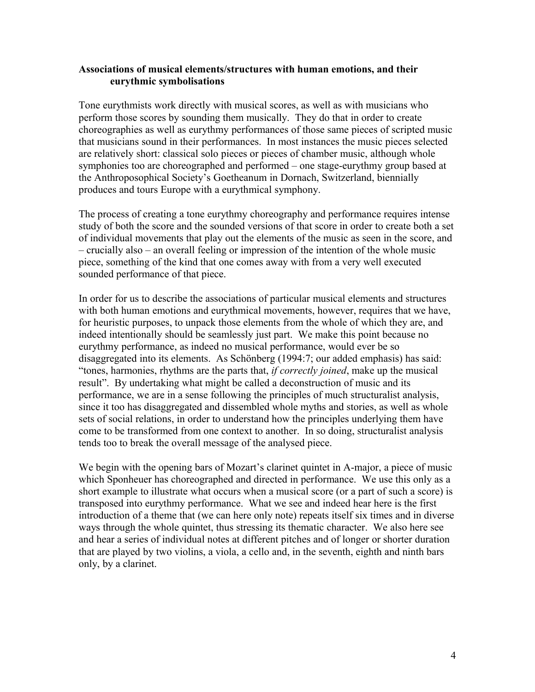#### **Associations of musical elements/structures with human emotions, and their eurythmic symbolisations**

Tone eurythmists work directly with musical scores, as well as with musicians who perform those scores by sounding them musically. They do that in order to create choreographies as well as eurythmy performances of those same pieces of scripted music that musicians sound in their performances. In most instances the music pieces selected are relatively short: classical solo pieces or pieces of chamber music, although whole symphonies too are choreographed and performed – one stage-eurythmy group based at the Anthroposophical Society's Goetheanum in Dornach, Switzerland, biennially produces and tours Europe with a eurythmical symphony.

The process of creating a tone eurythmy choreography and performance requires intense study of both the score and the sounded versions of that score in order to create both a set of individual movements that play out the elements of the music as seen in the score, and – crucially also – an overall feeling or impression of the intention of the whole music piece, something of the kind that one comes away with from a very well executed sounded performance of that piece.

In order for us to describe the associations of particular musical elements and structures with both human emotions and eurythmical movements, however, requires that we have, for heuristic purposes, to unpack those elements from the whole of which they are, and indeed intentionally should be seamlessly just part. We make this point because no eurythmy performance, as indeed no musical performance, would ever be so disaggregated into its elements. As Schönberg (1994:7; our added emphasis) has said: "tones, harmonies, rhythms are the parts that, *if correctly joined*, make up the musical result". By undertaking what might be called a deconstruction of music and its performance, we are in a sense following the principles of much structuralist analysis, since it too has disaggregated and dissembled whole myths and stories, as well as whole sets of social relations, in order to understand how the principles underlying them have come to be transformed from one context to another. In so doing, structuralist analysis tends too to break the overall message of the analysed piece.

We begin with the opening bars of Mozart's clarinet quintet in A-major, a piece of music which Sponheuer has choreographed and directed in performance. We use this only as a short example to illustrate what occurs when a musical score (or a part of such a score) is transposed into eurythmy performance. What we see and indeed hear here is the first introduction of a theme that (we can here only note) repeats itself six times and in diverse ways through the whole quintet, thus stressing its thematic character. We also here see and hear a series of individual notes at different pitches and of longer or shorter duration that are played by two violins, a viola, a cello and, in the seventh, eighth and ninth bars only, by a clarinet.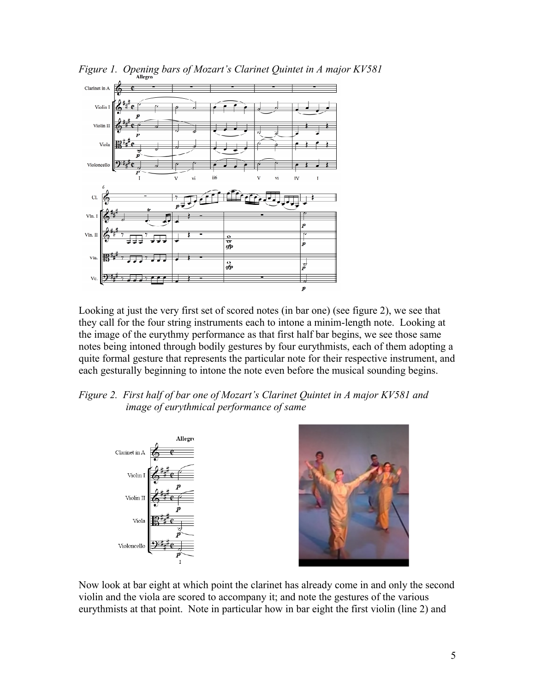

Looking at just the very first set of scored notes (in bar one) (see figure 2), we see that they call for the four string instruments each to intone a minim-length note. Looking at the image of the eurythmy performance as that first half bar begins, we see those same notes being intoned through bodily gestures by four eurythmists, each of them adopting a quite formal gesture that represents the particular note for their respective instrument, and each gesturally beginning to intone the note even before the musical sounding begins.





Now look at bar eight at which point the clarinet has already come in and only the second violin and the viola are scored to accompany it; and note the gestures of the various eurythmists at that point. Note in particular how in bar eight the first violin (line 2) and

*Figure 1. Opening bars of Mozart's Clarinet Quintet in A major KV581*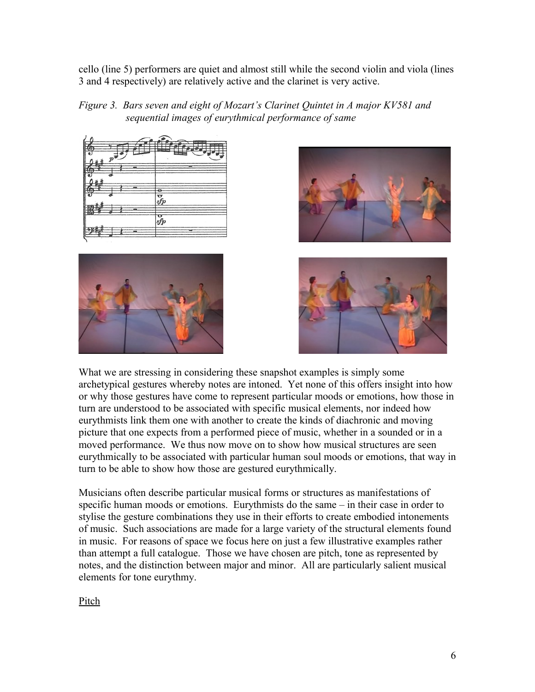cello (line 5) performers are quiet and almost still while the second violin and viola (lines 3 and 4 respectively) are relatively active and the clarinet is very active.











What we are stressing in considering these snapshot examples is simply some archetypical gestures whereby notes are intoned. Yet none of this offers insight into how or why those gestures have come to represent particular moods or emotions, how those in turn are understood to be associated with specific musical elements, nor indeed how eurythmists link them one with another to create the kinds of diachronic and moving picture that one expects from a performed piece of music, whether in a sounded or in a moved performance. We thus now move on to show how musical structures are seen eurythmically to be associated with particular human soul moods or emotions, that way in turn to be able to show how those are gestured eurythmically.

Musicians often describe particular musical forms or structures as manifestations of specific human moods or emotions. Eurythmists do the same – in their case in order to stylise the gesture combinations they use in their efforts to create embodied intonements of music. Such associations are made for a large variety of the structural elements found in music. For reasons of space we focus here on just a few illustrative examples rather than attempt a full catalogue. Those we have chosen are pitch, tone as represented by notes, and the distinction between major and minor. All are particularly salient musical elements for tone eurythmy.

Pitch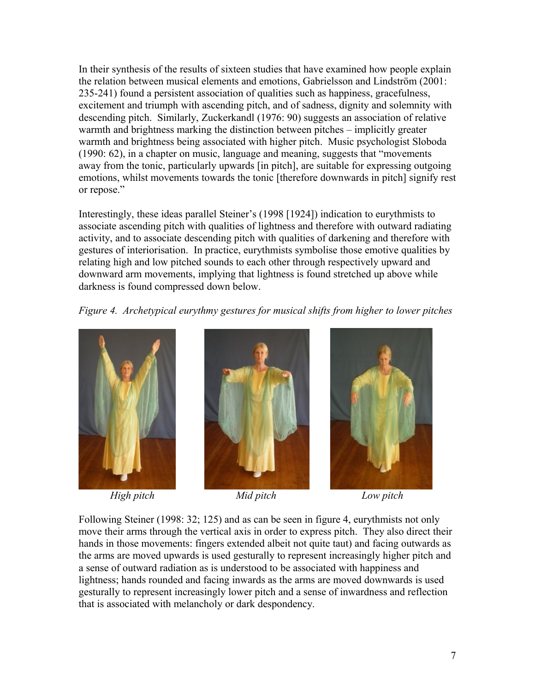In their synthesis of the results of sixteen studies that have examined how people explain the relation between musical elements and emotions, Gabrielsson and Lindström (2001: 235-241) found a persistent association of qualities such as happiness, gracefulness, excitement and triumph with ascending pitch, and of sadness, dignity and solemnity with descending pitch. Similarly, Zuckerkandl (1976: 90) suggests an association of relative warmth and brightness marking the distinction between pitches – implicitly greater warmth and brightness being associated with higher pitch. Music psychologist Sloboda (1990: 62), in a chapter on music, language and meaning, suggests that "movements away from the tonic, particularly upwards [in pitch], are suitable for expressing outgoing emotions, whilst movements towards the tonic [therefore downwards in pitch] signify rest or repose."

Interestingly, these ideas parallel Steiner's (1998 [1924]) indication to eurythmists to associate ascending pitch with qualities of lightness and therefore with outward radiating activity, and to associate descending pitch with qualities of darkening and therefore with gestures of interiorisation. In practice, eurythmists symbolise those emotive qualities by relating high and low pitched sounds to each other through respectively upward and downward arm movements, implying that lightness is found stretched up above while darkness is found compressed down below.

*Figure 4. Archetypical eurythmy gestures for musical shifts from higher to lower pitches*



*High pitch Mid pitch Low pitch*





Following Steiner (1998: 32; 125) and as can be seen in figure 4, eurythmists not only move their arms through the vertical axis in order to express pitch. They also direct their hands in those movements: fingers extended albeit not quite taut) and facing outwards as the arms are moved upwards is used gesturally to represent increasingly higher pitch and a sense of outward radiation as is understood to be associated with happiness and lightness; hands rounded and facing inwards as the arms are moved downwards is used gesturally to represent increasingly lower pitch and a sense of inwardness and reflection that is associated with melancholy or dark despondency.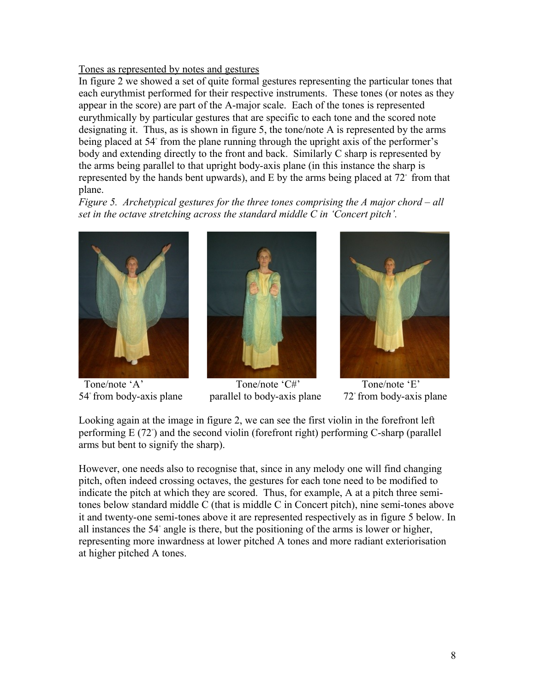## Tones as represented by notes and gestures

In figure 2 we showed a set of quite formal gestures representing the particular tones that each eurythmist performed for their respective instruments. These tones (or notes as they appear in the score) are part of the A-major scale. Each of the tones is represented eurythmically by particular gestures that are specific to each tone and the scored note designating it. Thus, as is shown in figure 5, the tone/note A is represented by the arms being placed at 54◦ from the plane running through the upright axis of the performer's body and extending directly to the front and back. Similarly C sharp is represented by the arms being parallel to that upright body-axis plane (in this instance the sharp is represented by the hands bent upwards), and E by the arms being placed at 72◦ from that plane.

*Figure 5. Archetypical gestures for the three tones comprising the A major chord – all set in the octave stretching across the standard middle C in 'Concert pitch'.* 





Tone/note 'A' Tone/note 'C#' Tone/note 'E'  $54°$  from body-axis plane parallel to body-axis plane  $72°$  from body-axis plane



Looking again at the image in figure 2, we can see the first violin in the forefront left performing E (72<sup>°</sup>) and the second violin (forefront right) performing C-sharp (parallel arms but bent to signify the sharp).

However, one needs also to recognise that, since in any melody one will find changing pitch, often indeed crossing octaves, the gestures for each tone need to be modified to indicate the pitch at which they are scored. Thus, for example, A at a pitch three semitones below standard middle C (that is middle C in Concert pitch), nine semi-tones above it and twenty-one semi-tones above it are represented respectively as in figure 5 below. In all instances the 54◦ angle is there, but the positioning of the arms is lower or higher, representing more inwardness at lower pitched A tones and more radiant exteriorisation at higher pitched A tones.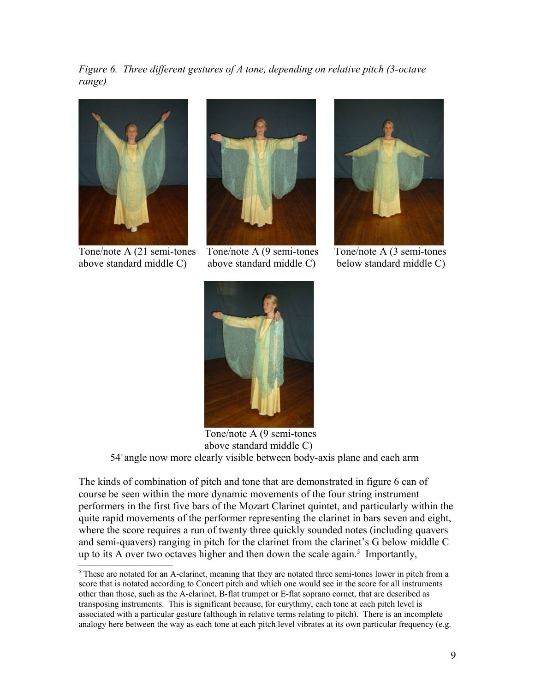*Figure 6. Three different gestures of A tone, depending on relative pitch (3-octave range)*



above standard middle C) above standard middle C) below standard middle C)



Tone/note A (21 semi-tones Tone/note A (9 semi-tones Tone/note A (3 semi-tones





Tone/note A (9 semi-tones above standard middle C) 54◦ angle now more clearly visible between body-axis plane and each arm

The kinds of combination of pitch and tone that are demonstrated in figure 6 can of course be seen within the more dynamic movements of the four string instrument performers in the first five bars of the Mozart Clarinet quintet, and particularly within the quite rapid movements of the performer representing the clarinet in bars seven and eight, where the score requires a run of twenty three quickly sounded notes (including quavers and semi-quavers) ranging in pitch for the clarinet from the clarinet's G below middle C up to its A over two octaves higher and then down the scale again.<sup>[5](#page-8-0)</sup> Importantly,

<span id="page-8-0"></span> $5$  These are notated for an A-clarinet, meaning that they are notated three semi-tones lower in pitch from a score that is notated according to Concert pitch and which one would see in the score for all instruments other than those, such as the A-clarinet, B-flat trumpet or E-flat soprano cornet, that are described as transposing instruments. This is significant because, for eurythmy, each tone at each pitch level is associated with a particular gesture (although in relative terms relating to pitch). There is an incomplete analogy here between the way as each tone at each pitch level vibrates at its own particular frequency (e.g.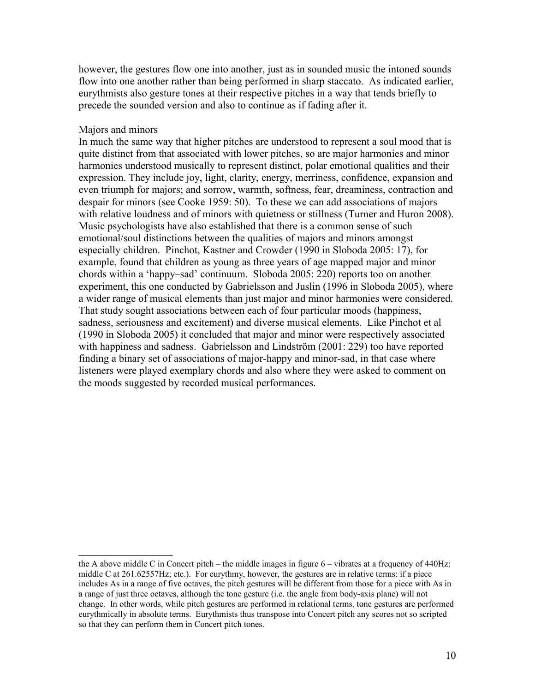however, the gestures flow one into another, just as in sounded music the intoned sounds flow into one another rather than being performed in sharp staccato. As indicated earlier, eurythmists also gesture tones at their respective pitches in a way that tends briefly to precede the sounded version and also to continue as if fading after it.

#### Majors and minors

In much the same way that higher pitches are understood to represent a soul mood that is quite distinct from that associated with lower pitches, so are major harmonies and minor harmonies understood musically to represent distinct, polar emotional qualities and their expression. They include joy, light, clarity, energy, merriness, confidence, expansion and even triumph for majors; and sorrow, warmth, softness, fear, dreaminess, contraction and despair for minors (see Cooke 1959: 50). To these we can add associations of majors with relative loudness and of minors with quietness or stillness (Turner and Huron 2008). Music psychologists have also established that there is a common sense of such emotional/soul distinctions between the qualities of majors and minors amongst especially children. Pinchot, Kastner and Crowder (1990 in Sloboda 2005: 17), for example, found that children as young as three years of age mapped major and minor chords within a 'happy–sad' continuum. Sloboda 2005: 220) reports too on another experiment, this one conducted by Gabrielsson and Juslin (1996 in Sloboda 2005), where a wider range of musical elements than just major and minor harmonies were considered. That study sought associations between each of four particular moods (happiness, sadness, seriousness and excitement) and diverse musical elements. Like Pinchot et al (1990 in Sloboda 2005) it concluded that major and minor were respectively associated with happiness and sadness. Gabrielsson and Lindström (2001: 229) too have reported finding a binary set of associations of major-happy and minor-sad, in that case where listeners were played exemplary chords and also where they were asked to comment on the moods suggested by recorded musical performances.

the A above middle C in Concert pitch – the middle images in figure  $6$  – vibrates at a frequency of 440Hz; middle C at 261.62557Hz; etc.). For eurythmy, however, the gestures are in relative terms: if a piece includes As in a range of five octaves, the pitch gestures will be different from those for a piece with As in a range of just three octaves, although the tone gesture (i.e. the angle from body-axis plane) will not change. In other words, while pitch gestures are performed in relational terms, tone gestures are performed eurythmically in absolute terms. Eurythmists thus transpose into Concert pitch any scores not so scripted so that they can perform them in Concert pitch tones.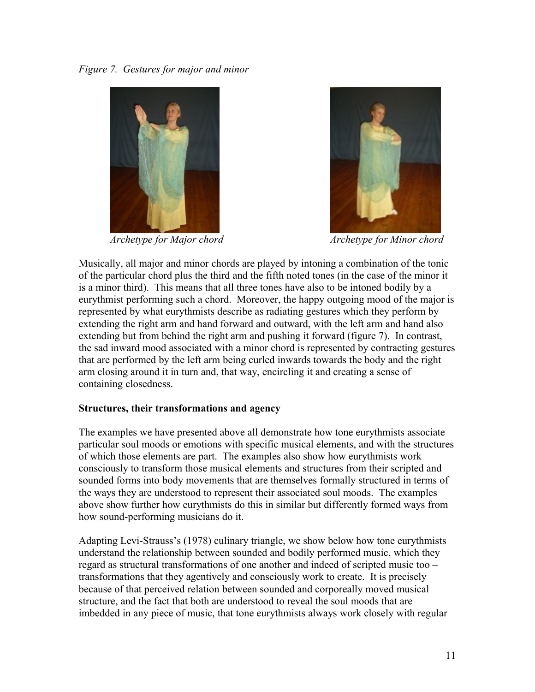



*Archetype for Major chord Archetype for Minor chord*

Musically, all major and minor chords are played by intoning a combination of the tonic of the particular chord plus the third and the fifth noted tones (in the case of the minor it is a minor third). This means that all three tones have also to be intoned bodily by a eurythmist performing such a chord. Moreover, the happy outgoing mood of the major is represented by what eurythmists describe as radiating gestures which they perform by extending the right arm and hand forward and outward, with the left arm and hand also extending but from behind the right arm and pushing it forward (figure 7). In contrast, the sad inward mood associated with a minor chord is represented by contracting gestures that are performed by the left arm being curled inwards towards the body and the right arm closing around it in turn and, that way, encircling it and creating a sense of containing closedness.

# **Structures, their transformations and agency**

The examples we have presented above all demonstrate how tone eurythmists associate particular soul moods or emotions with specific musical elements, and with the structures of which those elements are part. The examples also show how eurythmists work consciously to transform those musical elements and structures from their scripted and sounded forms into body movements that are themselves formally structured in terms of the ways they are understood to represent their associated soul moods. The examples above show further how eurythmists do this in similar but differently formed ways from how sound-performing musicians do it.

Adapting Levi-Strauss's (1978) culinary triangle, we show below how tone eurythmists understand the relationship between sounded and bodily performed music, which they regard as structural transformations of one another and indeed of scripted music too – transformations that they agentively and consciously work to create. It is precisely because of that perceived relation between sounded and corporeally moved musical structure, and the fact that both are understood to reveal the soul moods that are imbedded in any piece of music, that tone eurythmists always work closely with regular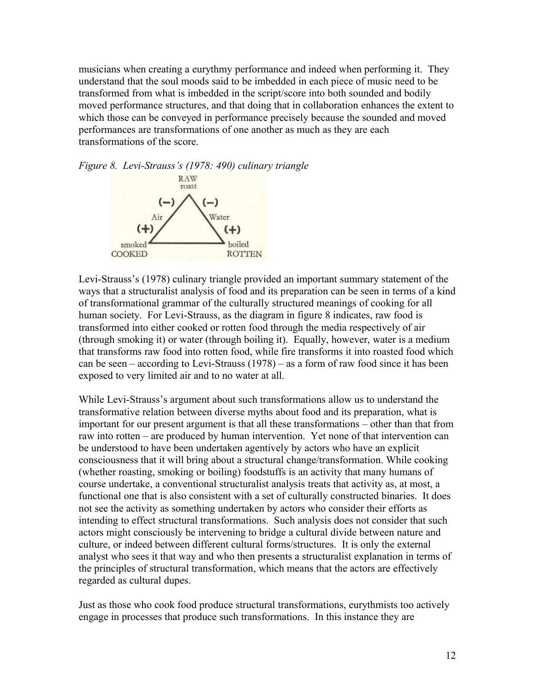musicians when creating a eurythmy performance and indeed when performing it. They understand that the soul moods said to be imbedded in each piece of music need to be transformed from what is imbedded in the script/score into both sounded and bodily moved performance structures, and that doing that in collaboration enhances the extent to which those can be conveyed in performance precisely because the sounded and moved performances are transformations of one another as much as they are each transformations of the score.



Levi-Strauss's (1978) culinary triangle provided an important summary statement of the ways that a structuralist analysis of food and its preparation can be seen in terms of a kind of transformational grammar of the culturally structured meanings of cooking for all human society. For Levi-Strauss, as the diagram in figure 8 indicates, raw food is transformed into either cooked or rotten food through the media respectively of air (through smoking it) or water (through boiling it). Equally, however, water is a medium that transforms raw food into rotten food, while fire transforms it into roasted food which can be seen – according to Levi-Strauss (1978) – as a form of raw food since it has been exposed to very limited air and to no water at all.

While Levi-Strauss's argument about such transformations allow us to understand the transformative relation between diverse myths about food and its preparation, what is important for our present argument is that all these transformations – other than that from raw into rotten – are produced by human intervention. Yet none of that intervention can be understood to have been undertaken agentively by actors who have an explicit consciousness that it will bring about a structural change/transformation. While cooking (whether roasting, smoking or boiling) foodstuffs is an activity that many humans of course undertake, a conventional structuralist analysis treats that activity as, at most, a functional one that is also consistent with a set of culturally constructed binaries. It does not see the activity as something undertaken by actors who consider their efforts as intending to effect structural transformations. Such analysis does not consider that such actors might consciously be intervening to bridge a cultural divide between nature and culture, or indeed between different cultural forms/structures. It is only the external analyst who sees it that way and who then presents a structuralist explanation in terms of the principles of structural transformation, which means that the actors are effectively regarded as cultural dupes.

Just as those who cook food produce structural transformations, eurythmists too actively engage in processes that produce such transformations. In this instance they are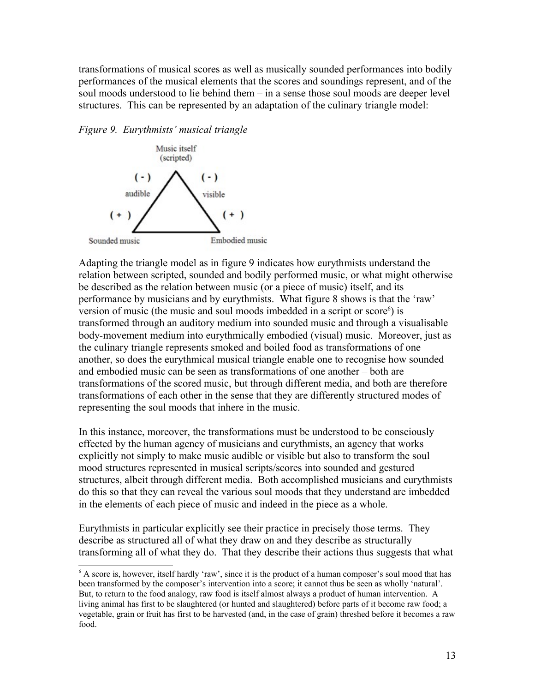transformations of musical scores as well as musically sounded performances into bodily performances of the musical elements that the scores and soundings represent, and of the soul moods understood to lie behind them – in a sense those soul moods are deeper level structures. This can be represented by an adaptation of the culinary triangle model:

*Figure 9. Eurythmists' musical triangle*



Adapting the triangle model as in figure 9 indicates how eurythmists understand the relation between scripted, sounded and bodily performed music, or what might otherwise be described as the relation between music (or a piece of music) itself, and its performance by musicians and by eurythmists. What figure 8 shows is that the 'raw' version of music (the music and soul moods imbedded in a script or score $\epsilon$ ) is transformed through an auditory medium into sounded music and through a visualisable body-movement medium into eurythmically embodied (visual) music. Moreover, just as the culinary triangle represents smoked and boiled food as transformations of one another, so does the eurythmical musical triangle enable one to recognise how sounded and embodied music can be seen as transformations of one another – both are transformations of the scored music, but through different media, and both are therefore transformations of each other in the sense that they are differently structured modes of representing the soul moods that inhere in the music.

In this instance, moreover, the transformations must be understood to be consciously effected by the human agency of musicians and eurythmists, an agency that works explicitly not simply to make music audible or visible but also to transform the soul mood structures represented in musical scripts/scores into sounded and gestured structures, albeit through different media. Both accomplished musicians and eurythmists do this so that they can reveal the various soul moods that they understand are imbedded in the elements of each piece of music and indeed in the piece as a whole.

Eurythmists in particular explicitly see their practice in precisely those terms. They describe as structured all of what they draw on and they describe as structurally transforming all of what they do. That they describe their actions thus suggests that what

<span id="page-12-0"></span><sup>6</sup> A score is, however, itself hardly 'raw', since it is the product of a human composer's soul mood that has been transformed by the composer's intervention into a score; it cannot thus be seen as wholly 'natural'. But, to return to the food analogy, raw food is itself almost always a product of human intervention. A living animal has first to be slaughtered (or hunted and slaughtered) before parts of it become raw food; a vegetable, grain or fruit has first to be harvested (and, in the case of grain) threshed before it becomes a raw food.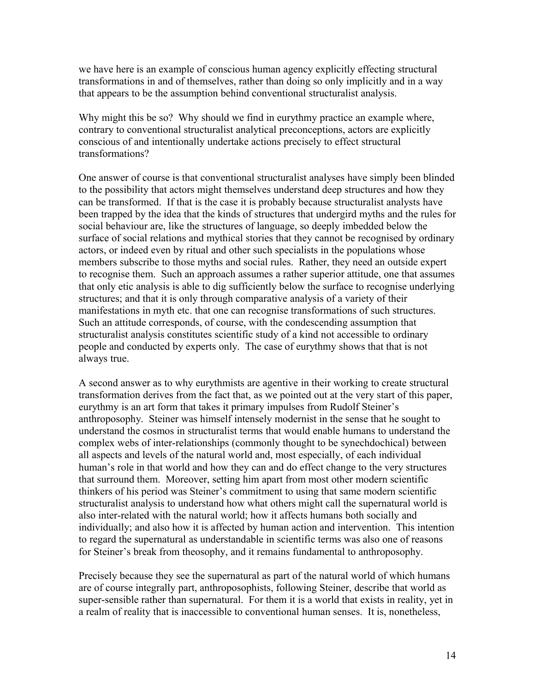we have here is an example of conscious human agency explicitly effecting structural transformations in and of themselves, rather than doing so only implicitly and in a way that appears to be the assumption behind conventional structuralist analysis.

Why might this be so? Why should we find in eurythmy practice an example where, contrary to conventional structuralist analytical preconceptions, actors are explicitly conscious of and intentionally undertake actions precisely to effect structural transformations?

One answer of course is that conventional structuralist analyses have simply been blinded to the possibility that actors might themselves understand deep structures and how they can be transformed. If that is the case it is probably because structuralist analysts have been trapped by the idea that the kinds of structures that undergird myths and the rules for social behaviour are, like the structures of language, so deeply imbedded below the surface of social relations and mythical stories that they cannot be recognised by ordinary actors, or indeed even by ritual and other such specialists in the populations whose members subscribe to those myths and social rules. Rather, they need an outside expert to recognise them. Such an approach assumes a rather superior attitude, one that assumes that only etic analysis is able to dig sufficiently below the surface to recognise underlying structures; and that it is only through comparative analysis of a variety of their manifestations in myth etc. that one can recognise transformations of such structures. Such an attitude corresponds, of course, with the condescending assumption that structuralist analysis constitutes scientific study of a kind not accessible to ordinary people and conducted by experts only. The case of eurythmy shows that that is not always true.

A second answer as to why eurythmists are agentive in their working to create structural transformation derives from the fact that, as we pointed out at the very start of this paper, eurythmy is an art form that takes it primary impulses from Rudolf Steiner's anthroposophy. Steiner was himself intensely modernist in the sense that he sought to understand the cosmos in structuralist terms that would enable humans to understand the complex webs of inter-relationships (commonly thought to be synechdochical) between all aspects and levels of the natural world and, most especially, of each individual human's role in that world and how they can and do effect change to the very structures that surround them. Moreover, setting him apart from most other modern scientific thinkers of his period was Steiner's commitment to using that same modern scientific structuralist analysis to understand how what others might call the supernatural world is also inter-related with the natural world; how it affects humans both socially and individually; and also how it is affected by human action and intervention. This intention to regard the supernatural as understandable in scientific terms was also one of reasons for Steiner's break from theosophy, and it remains fundamental to anthroposophy.

Precisely because they see the supernatural as part of the natural world of which humans are of course integrally part, anthroposophists, following Steiner, describe that world as super-sensible rather than supernatural. For them it is a world that exists in reality, yet in a realm of reality that is inaccessible to conventional human senses. It is, nonetheless,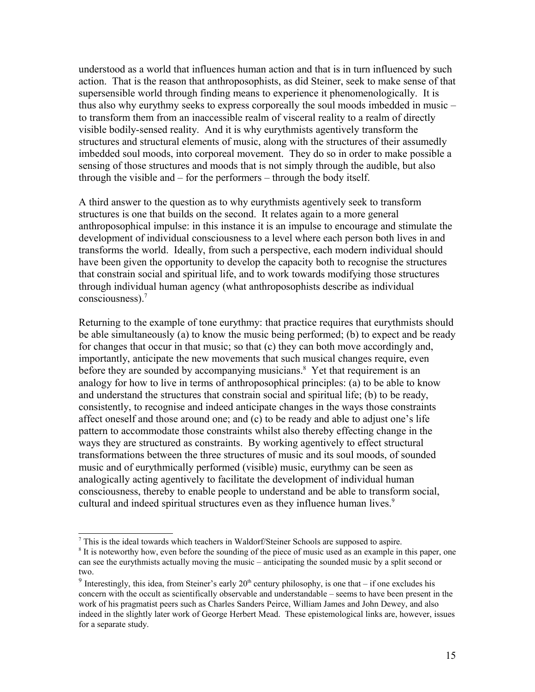understood as a world that influences human action and that is in turn influenced by such action. That is the reason that anthroposophists, as did Steiner, seek to make sense of that supersensible world through finding means to experience it phenomenologically. It is thus also why eurythmy seeks to express corporeally the soul moods imbedded in music – to transform them from an inaccessible realm of visceral reality to a realm of directly visible bodily-sensed reality. And it is why eurythmists agentively transform the structures and structural elements of music, along with the structures of their assumedly imbedded soul moods, into corporeal movement. They do so in order to make possible a sensing of those structures and moods that is not simply through the audible, but also through the visible and – for the performers – through the body itself.

A third answer to the question as to why eurythmists agentively seek to transform structures is one that builds on the second. It relates again to a more general anthroposophical impulse: in this instance it is an impulse to encourage and stimulate the development of individual consciousness to a level where each person both lives in and transforms the world. Ideally, from such a perspective, each modern individual should have been given the opportunity to develop the capacity both to recognise the structures that constrain social and spiritual life, and to work towards modifying those structures through individual human agency (what anthroposophists describe as individual consciousness).[7](#page-14-0)

Returning to the example of tone eurythmy: that practice requires that eurythmists should be able simultaneously (a) to know the music being performed; (b) to expect and be ready for changes that occur in that music; so that (c) they can both move accordingly and, importantly, anticipate the new movements that such musical changes require, even before they are sounded by accompanying musicians.<sup>[8](#page-14-1)</sup> Yet that requirement is an analogy for how to live in terms of anthroposophical principles: (a) to be able to know and understand the structures that constrain social and spiritual life; (b) to be ready, consistently, to recognise and indeed anticipate changes in the ways those constraints affect oneself and those around one; and (c) to be ready and able to adjust one's life pattern to accommodate those constraints whilst also thereby effecting change in the ways they are structured as constraints. By working agentively to effect structural transformations between the three structures of music and its soul moods, of sounded music and of eurythmically performed (visible) music, eurythmy can be seen as analogically acting agentively to facilitate the development of individual human consciousness, thereby to enable people to understand and be able to transform social, cultural and indeed spiritual structures even as they influence human lives.<sup>[9](#page-14-2)</sup>

<span id="page-14-0"></span> $<sup>7</sup>$  This is the ideal towards which teachers in Waldorf/Steiner Schools are supposed to aspire.</sup>

<span id="page-14-1"></span><sup>&</sup>lt;sup>8</sup> It is noteworthy how, even before the sounding of the piece of music used as an example in this paper, one can see the eurythmists actually moving the music – anticipating the sounded music by a split second or two.

<span id="page-14-2"></span><sup>&</sup>lt;sup>9</sup> Interestingly, this idea, from Steiner's early  $20<sup>th</sup>$  century philosophy, is one that – if one excludes his concern with the occult as scientifically observable and understandable – seems to have been present in the work of his pragmatist peers such as Charles Sanders Peirce, William James and John Dewey, and also indeed in the slightly later work of George Herbert Mead. These epistemological links are, however, issues for a separate study.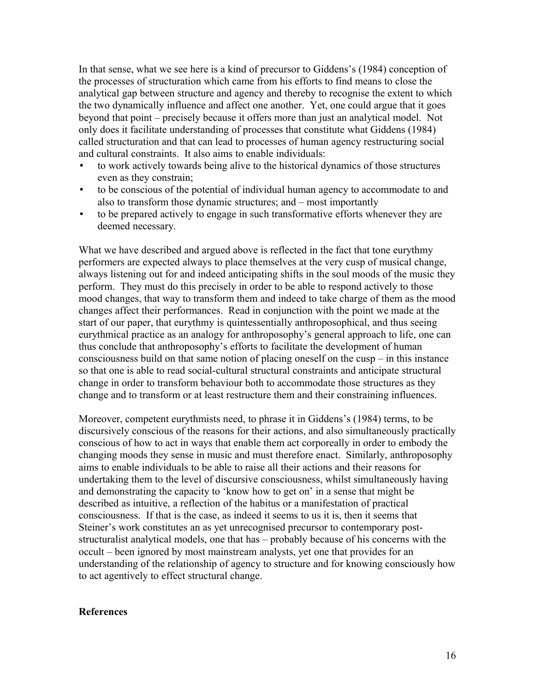In that sense, what we see here is a kind of precursor to Giddens's (1984) conception of the processes of structuration which came from his efforts to find means to close the analytical gap between structure and agency and thereby to recognise the extent to which the two dynamically influence and affect one another. Yet, one could argue that it goes beyond that point – precisely because it offers more than just an analytical model. Not only does it facilitate understanding of processes that constitute what Giddens (1984) called structuration and that can lead to processes of human agency restructuring social and cultural constraints. It also aims to enable individuals:

- to work actively towards being alive to the historical dynamics of those structures even as they constrain;
- to be conscious of the potential of individual human agency to accommodate to and also to transform those dynamic structures; and – most importantly
- to be prepared actively to engage in such transformative efforts whenever they are deemed necessary.

What we have described and argued above is reflected in the fact that tone eurythmy performers are expected always to place themselves at the very cusp of musical change, always listening out for and indeed anticipating shifts in the soul moods of the music they perform. They must do this precisely in order to be able to respond actively to those mood changes, that way to transform them and indeed to take charge of them as the mood changes affect their performances. Read in conjunction with the point we made at the start of our paper, that eurythmy is quintessentially anthroposophical, and thus seeing eurythmical practice as an analogy for anthroposophy's general approach to life, one can thus conclude that anthroposophy's efforts to facilitate the development of human consciousness build on that same notion of placing oneself on the cusp – in this instance so that one is able to read social-cultural structural constraints and anticipate structural change in order to transform behaviour both to accommodate those structures as they change and to transform or at least restructure them and their constraining influences.

Moreover, competent eurythmists need, to phrase it in Giddens's (1984) terms, to be discursively conscious of the reasons for their actions, and also simultaneously practically conscious of how to act in ways that enable them act corporeally in order to embody the changing moods they sense in music and must therefore enact. Similarly, anthroposophy aims to enable individuals to be able to raise all their actions and their reasons for undertaking them to the level of discursive consciousness, whilst simultaneously having and demonstrating the capacity to 'know how to get on' in a sense that might be described as intuitive, a reflection of the habitus or a manifestation of practical consciousness. If that is the case, as indeed it seems to us it is, then it seems that Steiner's work constitutes an as yet unrecognised precursor to contemporary poststructuralist analytical models, one that has – probably because of his concerns with the occult – been ignored by most mainstream analysts, yet one that provides for an understanding of the relationship of agency to structure and for knowing consciously how to act agentively to effect structural change.

### **References**